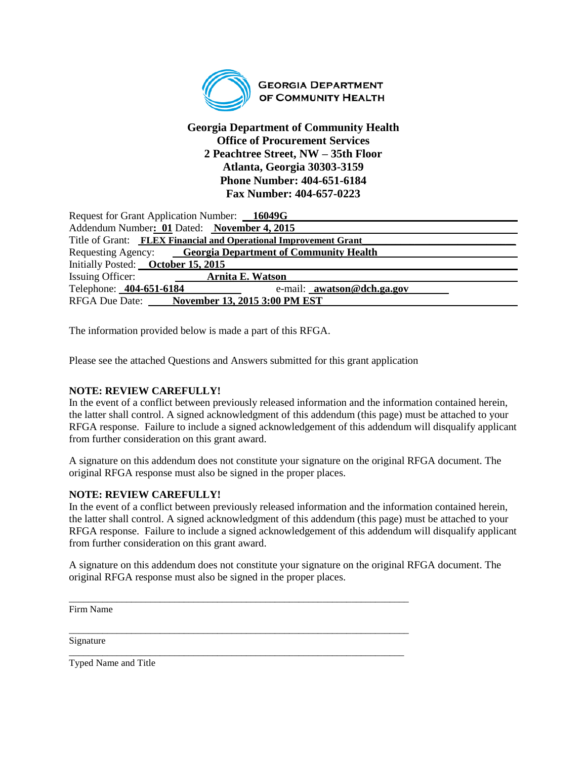

## **Georgia Department of Community Health Office of Procurement Services 2 Peachtree Street, NW – 35th Floor Atlanta, Georgia 30303-3159 Phone Number: 404-651-6184 Fax Number: 404-657-0223**

| Request for Grant Application Number: 16049G                     |                                              |  |  |
|------------------------------------------------------------------|----------------------------------------------|--|--|
| Addendum Number: 01 Dated: November 4, 2015                      |                                              |  |  |
| Title of Grant: FLEX Financial and Operational Improvement Grant |                                              |  |  |
| Requesting Agency: Georgia Department of Community Health        |                                              |  |  |
| Initially Posted: October 15, 2015                               |                                              |  |  |
| Issuing Officer:                                                 | <b>Arnita E. Watson</b>                      |  |  |
| Telephone: 404-651-6184                                          | e-mail: awatson@dch.ga.gov                   |  |  |
|                                                                  | RFGA Due Date: November 13, 2015 3:00 PM EST |  |  |

The information provided below is made a part of this RFGA.

Please see the attached Questions and Answers submitted for this grant application

### **NOTE: REVIEW CAREFULLY!**

In the event of a conflict between previously released information and the information contained herein, the latter shall control. A signed acknowledgment of this addendum (this page) must be attached to your RFGA response. Failure to include a signed acknowledgement of this addendum will disqualify applicant from further consideration on this grant award.

A signature on this addendum does not constitute your signature on the original RFGA document. The original RFGA response must also be signed in the proper places.

### **NOTE: REVIEW CAREFULLY!**

In the event of a conflict between previously released information and the information contained herein, the latter shall control. A signed acknowledgment of this addendum (this page) must be attached to your RFGA response. Failure to include a signed acknowledgement of this addendum will disqualify applicant from further consideration on this grant award.

A signature on this addendum does not constitute your signature on the original RFGA document. The original RFGA response must also be signed in the proper places.

\_\_\_\_\_\_\_\_\_\_\_\_\_\_\_\_\_\_\_\_\_\_\_\_\_\_\_\_\_\_\_\_\_\_\_\_\_\_\_\_\_\_\_\_\_\_\_\_\_\_\_\_\_\_\_\_\_\_\_\_\_\_\_\_\_\_\_\_\_\_\_

\_\_\_\_\_\_\_\_\_\_\_\_\_\_\_\_\_\_\_\_\_\_\_\_\_\_\_\_\_\_\_\_\_\_\_\_\_\_\_\_\_\_\_\_\_\_\_\_\_\_\_\_\_\_\_\_\_\_\_\_\_\_\_\_\_\_\_\_\_\_\_

\_\_\_\_\_\_\_\_\_\_\_\_\_\_\_\_\_\_\_\_\_\_\_\_\_\_\_\_\_\_\_\_\_\_\_\_\_\_\_\_\_\_\_\_\_\_\_\_\_\_\_\_\_\_\_\_\_\_\_\_\_\_\_\_\_\_\_\_\_\_

Firm Name

Signature

Typed Name and Title